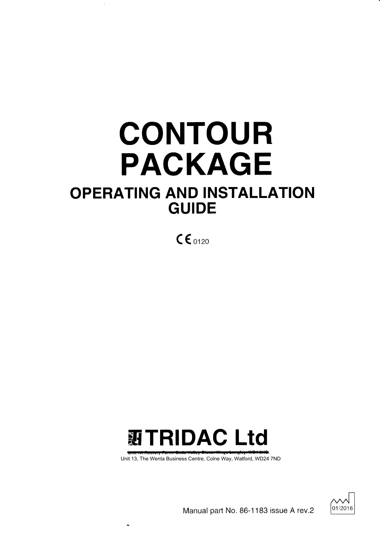# CONTOUR PACKAGE OPERATING AND INSTALLATION GUIDE

 $CE_{0120}$ 



Anit 1A Restery Farme Sade Valley Stess, Kings La<br>: 13, The Wenta Business Centre, Colne Way, Unit 13, The Wenta Business Centre, Colne Way, Watford, WD24 7ND



Manual part No. 86-1 183 issue A rev.2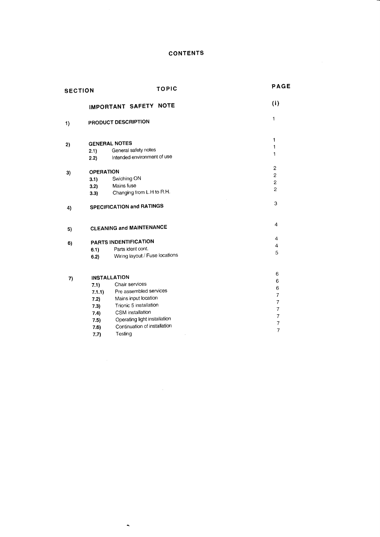## **CONTENTS**

| <b>SECTION</b> |                       | TOPIC                           | <b>PAGE</b>              |
|----------------|-----------------------|---------------------------------|--------------------------|
|                |                       | IMPORTANT SAFETY NOTE           | (i)                      |
| 1)             |                       | PRODUCT DESCRIPTION             | 1                        |
| 2)             |                       | <b>GENERAL NOTES</b>            | 1                        |
|                | 2.1)                  | General safety notes            | 1                        |
|                | 2.2)                  | Intended environment of use     | 1                        |
|                | <b>OPERATION</b>      |                                 | $\overline{2}$           |
| 3)             | 3.1)                  | Swiching ON                     | $\overline{c}$           |
|                | 3.2)                  | Mains fuse                      | $\overline{c}$           |
|                | 3.3)                  | Changing from L.H to R.H.       | $\overline{2}$           |
| 4)             |                       | SPECIFICATION and RATINGS       | 3                        |
| 5)             |                       | <b>CLEANING and MAINTENANCE</b> | $\overline{4}$           |
| 6)             | PARTS INDENTIFICATION |                                 | $\overline{4}$           |
|                | 6.1)                  | Parts ident cont.               | 4                        |
|                | 6.2)                  | Wiring layout / Fuse locations  | 5                        |
|                |                       | <b>INSTALLATION</b>             | 6                        |
| 7)             | 7.1)                  | Chair services                  | 6                        |
|                | 7.1.1)                | Pre assembled services          | 6                        |
|                | 7.2)                  | Mains input location            | $\overline{7}$           |
|                | 7.3)                  | Trionic 5 installation          | $\overline{7}$           |
|                | 7.4)                  | CSM installation                | $\overline{\mathcal{I}}$ |
|                | 7.5)                  | Operating light installation    | $\overline{7}$           |
|                | 7.6)                  | Continuation of installation    | $\overline{7}$           |
|                | 7 71                  | Tactina                         | $\overline{7}$           |

7.7) Testing

 $\ddot{\phantom{1}}$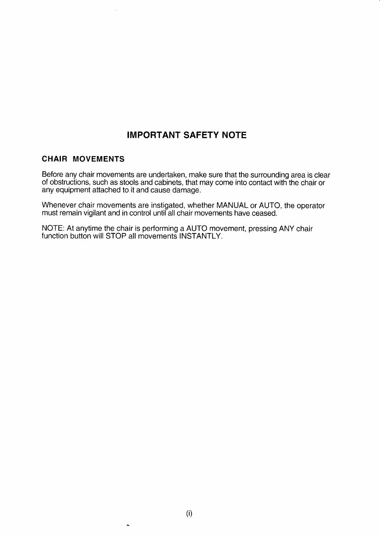## IMPORTANT SAFETY NOTE

## CHAIR MOVEMENTS

Before any chair movements are undertaken, make sure that the surrounding area is clear of obstructions, such as stools and cabinets, that may come into contact with the chair or any equipment attached to it and cause damage.

Whenever chair movements are instigated, whether MANUAL or AUTO, the operator must remain vigilant and in control until all chair movements have ceased.

NOTE: At anytime the chair is performing a AUTO movement, pressing ANY chair function button will STOP all movements INSTANTLY.

 $\ddot{\phantom{1}}$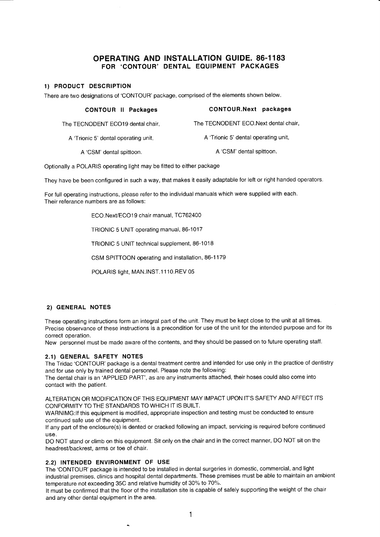## OPERATING AND INSTALLATION GUIDE. 86-1183 FOR 'CONTOUR' DENTAL EQUIPMENT PACKAGES

## 1) PRODUCT DESCRIPTION

There are two designations of 'CONTOUR' package, comprised of lhe elements shown below.

| <b>CONTOUR II Packages</b>           | CONTOUR.Next packages                |
|--------------------------------------|--------------------------------------|
| The TECNODENT ECO19 dental chair.    | The TECNODENT ECO.Next dental chair  |
| A 'Trionic 5' dental operating unit, | A 'Trionic 5' dental operating unit, |
| A 'CSM' dental spittoon.             | A 'CSM' dental spittoon.             |

Optionally a POLARIS operating light may be fitted to either package

They have be been configured in such a way, that makes it easily adaptable for left or right handed operators.

For full operating instructions, please refer to the individual manuals which were supplied with each. Their referance numbers are as follows:

ECO.Next/ECO19 chair manual, TC762400

TRIONIC 5 UNIT operating manual,86-1017

TRIONIC 5 UNIT technical supplement, 86-1018

CSM SPITTOON operating and installation, 86-1 179

POLARIS light, MAN.INST.1110.REV 05

#### 2) GENERAL NOTES

These operating instructions form an integral part of the unit. They must be kept close to the unit at all times. Precise observance of these instructions is a precondition for use of the unit for the intended purpose and for its correct operation.

New personnel must be made aware of the contents, and they should be passed on to future operating staff.

#### 2.1) GENERAL SAFETY NOTES

The Tridac 'CONTOUR' package is a dental treatment centre and intended for use only in the practice of dentistry and for use only by trained dental personnel. Please note the following:

The dental chair is an 'APPLIED PART', as are any instruments attached, their hoses could also come into contact with the patient.

ALTERATION OR MODIFICATION OF THIS EQUIPMENT MAY IMPACT UPON IT'S SAFETY AND AFFECT ITS CONFORMITY TO THE STANDARDS TO WHICH IT IS BUILT.

WARNIMG:lf this equipment is modified, appropriate inspection and testing must be conducted to ensure continued safe use of the equipment.

If any part of the enclosure(s) is dented or cracked following an impact, servicing is required before continued use.

DO NOT stand or climb on this equipment. Sit only on the chair and in the correct manner, DO NOT sit on the headrest/backrest, arms or toe of chair.

#### 2.2) INTENDED ENVIRONMENT OF USE

The 'CONTOUR' package is intended to be installed in dental surgeries in domestic, commercial, and light industrial premises, clinics and hospital dental departments. These premises must be able to maintain an ambient temperature not exceeding 35C and relative humidity of 30% to 70%.

It must be confirmed that the floor of the installation site is capable of safely supporting the weight of the chair and any other dental equipment in the area.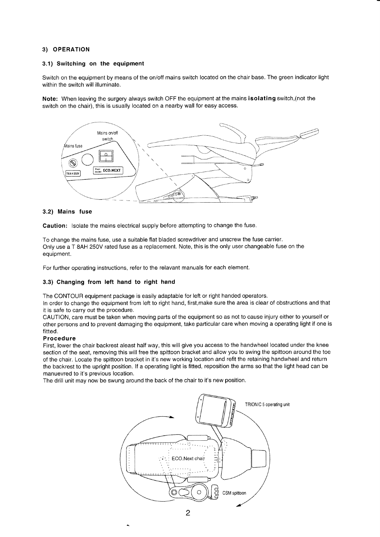## 3) OPERATION

### 3.1) Switching on the equipment

Switch on the equipment by means of the on/off mains switch located on the chair base. The green indicator light within the switch will illuminate.

Note: When leaving the surgery always switch OFF the equipment at the mains isolating switch, (not the switch on the chair), this is usually located on a nearby wall for easy access.



#### 3.2) Mains fuse

Caution: lsolate the mains electrical supply before atlempting to change the fuse.

To change the mains fuse, use a suitable flat bladed screwdriver and unscrew the fuse carrier. Only use a T 8AH 250V rated fuse as a replacement. Note, this is the only user changeable fuse on the equipment.

For further operating instructions, refer to the relavant manuals for each element.

#### 3.3) Changing from left hand to right hand

The CONTOUR equipment package is easily adaptable for left or right handed operators.

In order to change the equipment from left to right hand, first, make sure the area is clear of obstructions and that it is safe to carry out the procedure.

CAUfION, care must be taken when moving parts of the equipment so as not to cause injury either to yourself or other persons and to prevent damaging the equipment, take particular care when moving a operating light if one is fitted.

#### **Procedure**

First, lower the chair backrest aleast half way, this will give you access to the handwheel located under the knee section of the seat, removing this will free the spittoon bracket and allow you to swing the spittoon around the toe of the chair. Locate the spittoon bracket in it's new working location and refit the retaining handwheel and return the backrest to the upright position. lf a operating light is fitted, reposition the arms so that the light head can be manuevred to it's previous location.

The drill unit may now be swung around the back of the chair to it's new position.

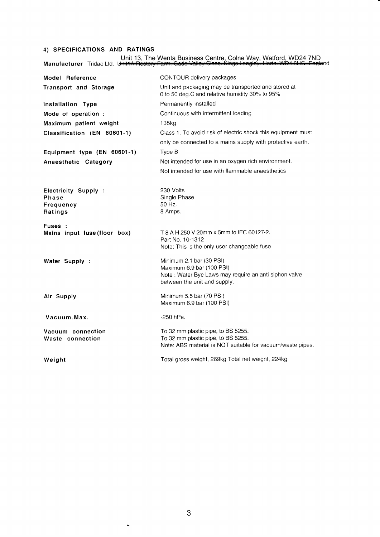## 4) SPECIFICATIONS AND RATINGS

Unit 13, The Wenta Business Centre, Colne Way, Watford, WD24 7ND<br>Manufacturer \_Tridac Ltd. U<del>nit1A Restory Farm. Gade Valley Cless. Kings Langley: Herts. WD4 8HG Engla</del>nd

| Model Reference                                              | CONTOUR delivery packages                                                                                                              |
|--------------------------------------------------------------|----------------------------------------------------------------------------------------------------------------------------------------|
| <b>Transport and Storage</b>                                 | Unit and packaging may be transported and stored at<br>0 to 50 deg.C and relative humidity 30% to 95%                                  |
| Installation Type                                            | Permanently installed                                                                                                                  |
| Mode of operation :                                          | Continuous with intermittent loading                                                                                                   |
| Maximum patient weight                                       | 135kg                                                                                                                                  |
| Classification (EN 60601-1)                                  | Class 1. To avoid risk of electric shock this equipment must                                                                           |
|                                                              | only be connected to a mains supply with protective earth.                                                                             |
| Equipment type (EN 60601-1)                                  | Type B                                                                                                                                 |
| Anaesthetic Category                                         | Not intended for use in an oxygen rich environment.                                                                                    |
|                                                              | Not intended for use with flammable anaesthetics                                                                                       |
| Electricity Supply :<br><b>Phase</b><br>Frequency<br>Ratings | 230 Volts<br>Single Phase<br>50 Hz.<br>8 Amps.                                                                                         |
| Fuses:                                                       | T 8 A H 250 V 20mm x 5mm to IEC 60127-2.                                                                                               |
| Mains input fuse (floor box)                                 | Part No. 10-1312                                                                                                                       |
|                                                              | Note: This is the only user changeable fuse                                                                                            |
| Water Supply :                                               | Minimum 2.1 bar (30 PSI)                                                                                                               |
|                                                              | Maximum 6.9 bar (100 PSI)<br>Note: Water Bye Laws may require an anti siphon valve<br>between the unit and supply.                     |
| Air Supply                                                   | Minimum 5.5 bar (70 PSI)<br>Maximum 6.9 bar (100 PSI)                                                                                  |
| Vacuum.Max.                                                  | $-250$ hPa.                                                                                                                            |
| Vacuum connection<br>Waste connection                        | To 32 mm plastic pipe, to BS 5255.<br>To 32 mm plastic pipe, to BS 5255.<br>Note: ABS material is NOT suitable for vacuum/waste pipes. |
| Weight                                                       | Total gross weight, 269kg Total net weight, 224kg                                                                                      |

 $\ddot{\phantom{1}}$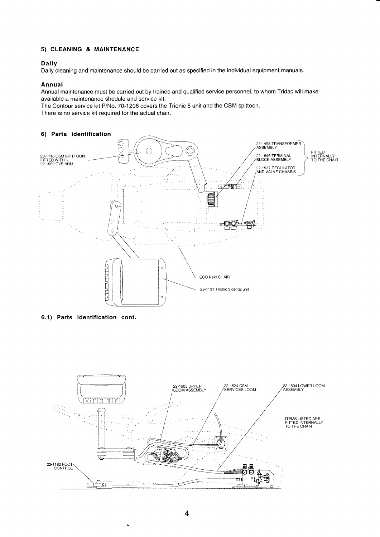## 5) CLEANING & MAINTENANCE

## Daily

Daily cleaning and maintenance should be carried out as specified in the individual equipment manuals.

## Annual

Annual maintenance must be carried out by trained and qualified service personnel, to whom Tridac will make available a maintenance shedule and service kit.

The Contour service kit P/No. 70-1206 covers the Trionic 5 unit and the CSM spittoon.

There is no service kit required for the actual chair.





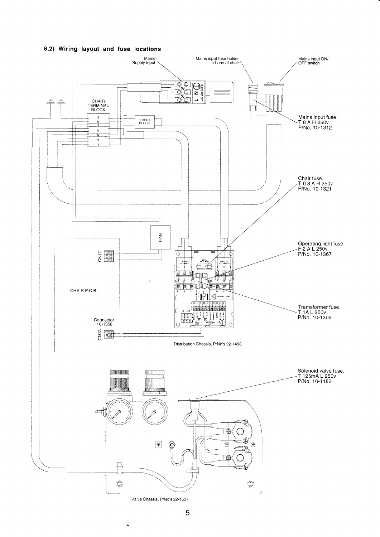## 6.2) Wiring layout and fuse locations



5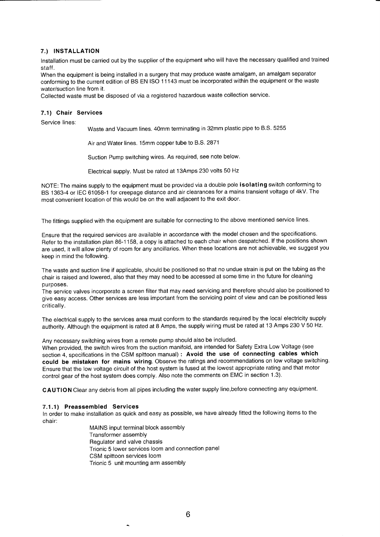## 7.) INSTALLATION

Installation must be carried out by the supplier of the equipment who will have the necessary qualified and trained staff.

When the equipment is being installed in a surgery that may produce waste amalgam, an amalgam separator conforming to the current edition of BS EN ISO <sup>1</sup>1 143 must be incorporated within the equipment or the waste water/suction line from it.

Collected waste must be disposed of via a registered hazardous waste collection service.

## 7.1) Chair Services

Service lines:

Waste and Vacuum lines. 40mm terminating in 32mm plastic pipe to B.S. 5255

Air and Water lines. 1Smm copper tube to B.S. 2871

Suction Pump switching wires. As required, see note below.

Electrical supply. Must be rated at 13Amps 230 volts 50 Hz

NOTE: The mains supply to the equipment must be provided via a double pole isolating switch conforming to BS 1363-4 or IEC 61058-1 for creepage distance and air clearances for a mains transient voltage of 4kV. The most convenient location of this would be on the wall adjacent to the exit door.

The fittings supplied with the equipment are suitable for connecting to the above mentioned service lines.

Ensure that the required services are availabie in accordance with the model chosen and the specifications. Refer to the installation plan 86-1158, a copy is attached to each chair when despatched. lf the positions shown are used, it will allow plenty of room for any ancillaries. When these locations are not achievable, we suggest you keep in mind the following.

The waste and suction line if applicable, should be positioned so that no undue strain is put on the tubing as the chair is raised and lowered, also that they may need to be accessed at some time in the future for cleaning purposes.

The service valves incorporate a screen filter that may need servicing and therefore should also be positioned to give easy access. Other services are less important from the servicing point of view and can be positioned less critically.

The electrical supply to the services area must conform to the standards required by the local electricity supply authority. Although the equipment is rated at 8 Amps, the supply wiring must be rated at 13 Amps 230 V 50 Hz.

Any necessary switching wires from a remote pump should also be included.

When provided, the switch wires from the suction manifold, are intended for Safety Extra Low Voltage (see section 4, specifications in the CSM spittoon manual) : Avoid the use of connecting cables which could be mistaken for mains wiring. Observe the ratings and recommendations on low voltage switching. Ensure that the low voltage circuit of the host system is fused at the lowest appropriate rating and that motor control gear of the host system does comply. Also note the comments on EMC in seetion 1.3).

CAUTION Clear any debris from all pipes including the water supply line,before connecting any equipment.

#### 7.1 .1) Preassembled Services

ln order to make installation as quick and easy as possible, we have already fitted the following items to the chair:

> MAINS input terminal block assembly Transformer assemblY Regulator and valve chassis Trionic 5 lower services loom and connection panel CSM spittoon services loom Trionic 5 unit mounting arm assembly